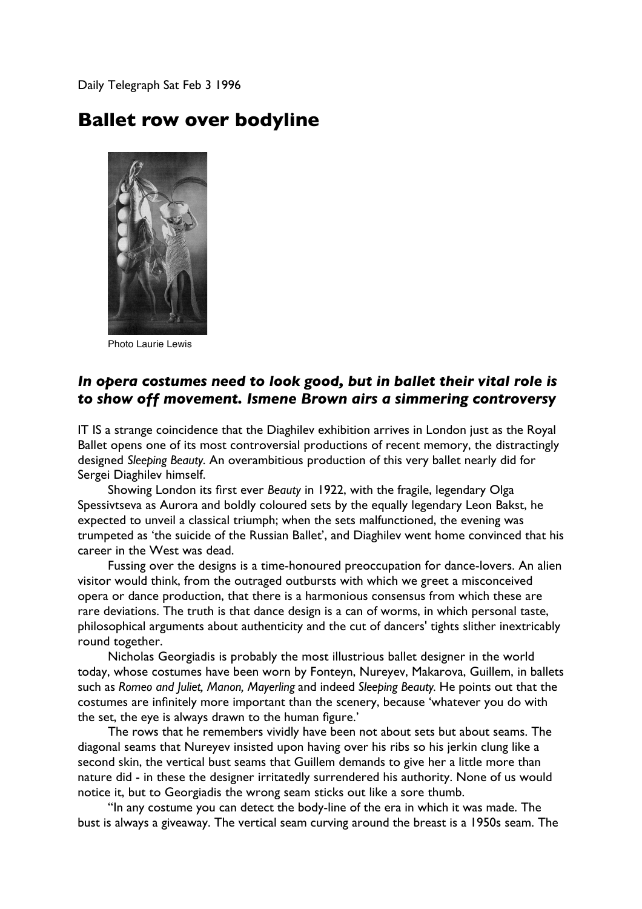Daily Telegraph Sat Feb 3 1996

## **Ballet row over bodyline**



Photo Laurie Lewis

## *In opera costumes need to look good, but in ballet their vital role is to show off movement. Ismene Brown airs a simmering controversy*

IT IS a strange coincidence that the Diaghilev exhibition arrives in London just as the Royal Ballet opens one of its most controversial productions of recent memory, the distractingly designed *Sleeping Beauty*. An overambitious production of this very ballet nearly did for Sergei Diaghilev himself.

Showing London its first ever *Beauty* in 1922, with the fragile, legendary Olga Spessivtseva as Aurora and boldly coloured sets by the equally legendary Leon Bakst, he expected to unveil a classical triumph; when the sets malfunctioned, the evening was trumpeted as 'the suicide of the Russian Ballet', and Diaghilev went home convinced that his career in the West was dead.

Fussing over the designs is a time-honoured preoccupation for dance-lovers. An alien visitor would think, from the outraged outbursts with which we greet a misconceived opera or dance production, that there is a harmonious consensus from which these are rare deviations. The truth is that dance design is a can of worms, in which personal taste, philosophical arguments about authenticity and the cut of dancers' tights slither inextricably round together.

Nicholas Georgiadis is probably the most illustrious ballet designer in the world today, whose costumes have been worn by Fonteyn, Nureyev, Makarova, Guillem, in ballets such as *Romeo and Juliet, Manon, Mayerling* and indeed *Sleeping Beauty.* He points out that the costumes are infinitely more important than the scenery, because 'whatever you do with the set, the eye is always drawn to the human figure.'

The rows that he remembers vividly have been not about sets but about seams. The diagonal seams that Nureyev insisted upon having over his ribs so his jerkin clung like a second skin, the vertical bust seams that Guillem demands to give her a little more than nature did - in these the designer irritatedly surrendered his authority. None of us would notice it, but to Georgiadis the wrong seam sticks out like a sore thumb.

"In any costume you can detect the body-line of the era in which it was made. The bust is always a giveaway. The vertical seam curving around the breast is a 1950s seam. The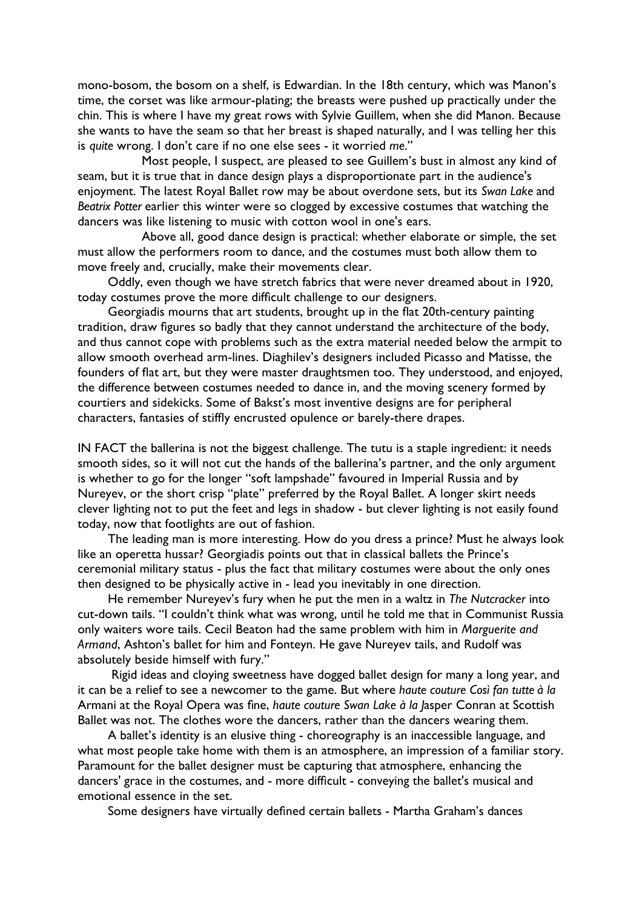mono-bosom, the bosom on a shelf, is Edwardian. In the 18th century, which was Manon's time, the corset was like armour-plating; the breasts were pushed up practically under the chin. This is where I have my great rows with Sylvie Guillem, when she did Manon. Because she wants to have the seam so that her breast is shaped naturally, and I was telling her this is *quite* wrong. I don't care if no one else sees - it worried *me*."

 Most people, I suspect, are pleased to see Guillem's bust in almost any kind of seam, but it is true that in dance design plays a disproportionate part in the audience's enjoyment. The latest Royal Ballet row may be about overdone sets, but its *Swan Lake* and *Beatrix Potter* earlier this winter were so clogged by excessive costumes that watching the dancers was like listening to music with cotton wool in one's ears.

 Above all, good dance design is practical: whether elaborate or simple, the set must allow the performers room to dance, and the costumes must both allow them to move freely and, crucially, make their movements clear.

Oddly, even though we have stretch fabrics that were never dreamed about in 1920, today costumes prove the more difficult challenge to our designers.

Georgiadis mourns that art students, brought up in the flat 20th-century painting tradition, draw figures so badly that they cannot understand the architecture of the body, and thus cannot cope with problems such as the extra material needed below the armpit to allow smooth overhead arm-lines. Diaghilev's designers included Picasso and Matisse, the founders of flat art, but they were master draughtsmen too. They understood, and enjoyed, the difference between costumes needed to dance in, and the moving scenery formed by courtiers and sidekicks. Some of Bakst's most inventive designs are for peripheral characters, fantasies of stiffly encrusted opulence or barely-there drapes.

IN FACT the ballerina is not the biggest challenge. The tutu is a staple ingredient: it needs smooth sides, so it will not cut the hands of the ballerina's partner, and the only argument is whether to go for the longer "soft lampshade" favoured in Imperial Russia and by Nureyev, or the short crisp "plate" preferred by the Royal Ballet. A longer skirt needs clever lighting not to put the feet and legs in shadow - but clever lighting is not easily found today, now that footlights are out of fashion.

The leading man is more interesting. How do you dress a prince? Must he always look like an operetta hussar? Georgiadis points out that in classical ballets the Prince's ceremonial military status - plus the fact that military costumes were about the only ones then designed to be physically active in - lead you inevitably in one direction.

He remember Nureyev's fury when he put the men in a waltz in *The Nutcracker* into cut-down tails. "I couldn't think what was wrong, until he told me that in Communist Russia only waiters wore tails. Cecil Beaton had the same problem with him in *Marguerite and Armand*, Ashton's ballet for him and Fonteyn. He gave Nureyev tails, and Rudolf was absolutely beside himself with fury."

 Rigid ideas and cloying sweetness have dogged ballet design for many a long year, and it can be a relief to see a newcomer to the game. But where *haute couture Così fan tutte à la* Armani at the Royal Opera was fine, *haute couture Swan Lake à la J*asper Conran at Scottish Ballet was not. The clothes wore the dancers, rather than the dancers wearing them.

A ballet's identity is an elusive thing - choreography is an inaccessible language, and what most people take home with them is an atmosphere, an impression of a familiar story. Paramount for the ballet designer must be capturing that atmosphere, enhancing the dancers' grace in the costumes, and - more difficult - conveying the ballet's musical and emotional essence in the set.

Some designers have virtually defined certain ballets - Martha Graham's dances